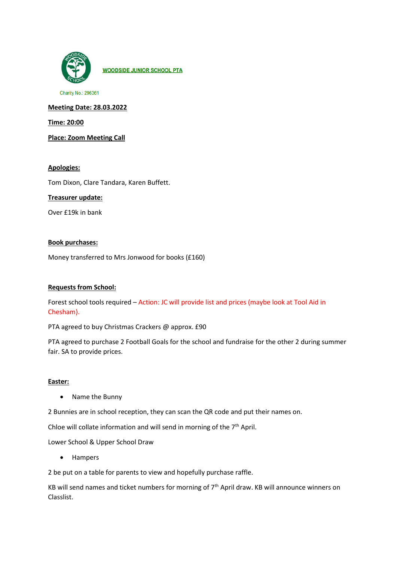

**WOODSIDE JUNIOR SCHOOL PTA** 

Charity No.: 296361

**Meeting Date: 28.03.2022**

**Time: 20:00**

**Place: Zoom Meeting Call**

## **Apologies:**

Tom Dixon, Clare Tandara, Karen Buffett.

### **Treasurer update:**

Over £19k in bank

### **Book purchases:**

Money transferred to Mrs Jonwood for books (£160)

### **Requests from School:**

Forest school tools required – Action: JC will provide list and prices (maybe look at Tool Aid in Chesham).

PTA agreed to buy Christmas Crackers @ approx. £90

PTA agreed to purchase 2 Football Goals for the school and fundraise for the other 2 during summer fair. SA to provide prices.

### **Easter:**

• Name the Bunny

2 Bunnies are in school reception, they can scan the QR code and put their names on.

Chloe will collate information and will send in morning of the  $7<sup>th</sup>$  April.

Lower School & Upper School Draw

• Hampers

2 be put on a table for parents to view and hopefully purchase raffle.

KB will send names and ticket numbers for morning of 7th April draw. KB will announce winners on Classlist.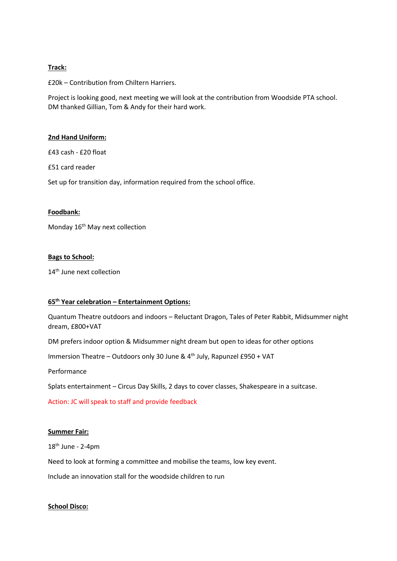### **Track:**

£20k – Contribution from Chiltern Harriers.

Project is looking good, next meeting we will look at the contribution from Woodside PTA school. DM thanked Gillian, Tom & Andy for their hard work.

#### **2nd Hand Uniform:**

£43 cash - £20 float

£51 card reader

Set up for transition day, information required from the school office.

### **Foodbank:**

Monday 16<sup>th</sup> May next collection

### **Bags to School:**

14<sup>th</sup> June next collection

# **65th Year celebration – Entertainment Options:**

Quantum Theatre outdoors and indoors – Reluctant Dragon, Tales of Peter Rabbit, Midsummer night dream, £800+VAT

DM prefers indoor option & Midsummer night dream but open to ideas for other options

Immersion Theatre – Outdoors only 30 June & 4th July, Rapunzel £950 + VAT

Performance

Splats entertainment – Circus Day Skills, 2 days to cover classes, Shakespeare in a suitcase.

Action: JC will speak to staff and provide feedback

#### **Summer Fair:**

 $18<sup>th</sup>$  June - 2-4pm

Need to look at forming a committee and mobilise the teams, low key event.

Include an innovation stall for the woodside children to run

### **School Disco:**